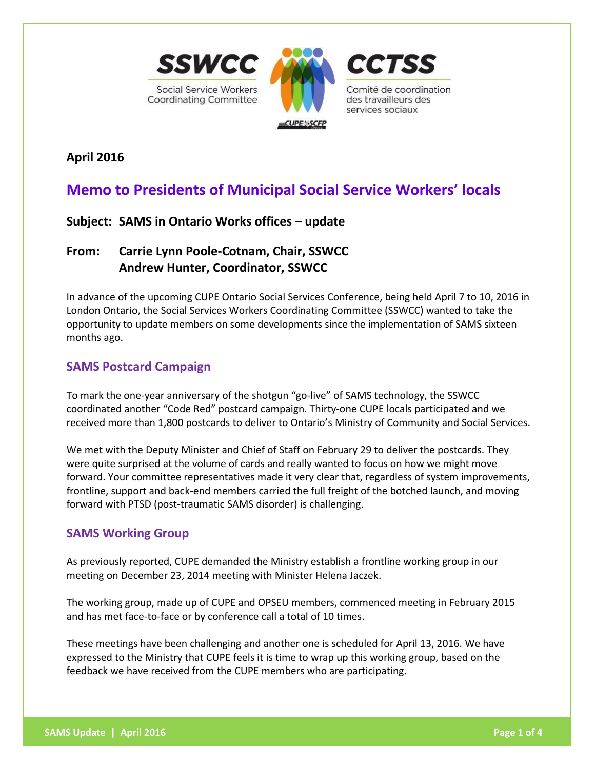

**April 2016**

# **Memo to Presidents of Municipal Social Service Workers' locals**

# **Subject: SAMS in Ontario Works offices – update**

# **From: Carrie Lynn Poole-Cotnam, Chair, SSWCC Andrew Hunter, Coordinator, SSWCC**

In advance of the upcoming CUPE Ontario Social Services Conference, being held April 7 to 10, 2016 in London Ontario, the Social Services Workers Coordinating Committee (SSWCC) wanted to take the opportunity to update members on some developments since the implementation of SAMS sixteen months ago.

# **SAMS Postcard Campaign**

To mark the one-year anniversary of the shotgun "go-live" of SAMS technology, the SSWCC coordinated another "Code Red" postcard campaign. Thirty-one CUPE locals participated and we received more than 1,800 postcards to deliver to Ontario's Ministry of Community and Social Services.

We met with the Deputy Minister and Chief of Staff on February 29 to deliver the postcards. They were quite surprised at the volume of cards and really wanted to focus on how we might move forward. Your committee representatives made it very clear that, regardless of system improvements, frontline, support and back-end members carried the full freight of the botched launch, and moving forward with PTSD (post-traumatic SAMS disorder) is challenging.

# **SAMS Working Group**

As previously reported, CUPE demanded the Ministry establish a frontline working group in our meeting on December 23, 2014 meeting with Minister Helena Jaczek.

The working group, made up of CUPE and OPSEU members, commenced meeting in February 2015 and has met face-to-face or by conference call a total of 10 times.

These meetings have been challenging and another one is scheduled for April 13, 2016. We have expressed to the Ministry that CUPE feels it is time to wrap up this working group, based on the feedback we have received from the CUPE members who are participating.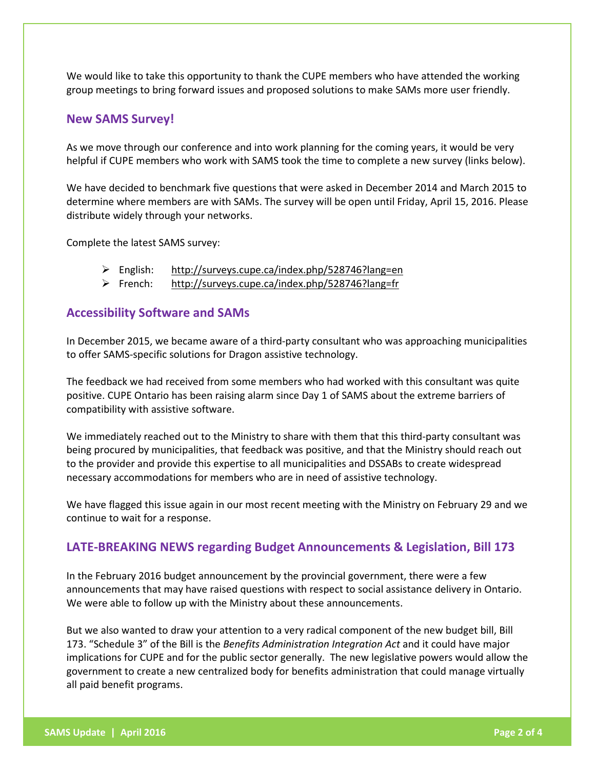We would like to take this opportunity to thank the CUPE members who have attended the working group meetings to bring forward issues and proposed solutions to make SAMs more user friendly.

## **New SAMS Survey!**

As we move through our conference and into work planning for the coming years, it would be very helpful if CUPE members who work with SAMS took the time to complete a new survey (links below).

We have decided to benchmark five questions that were asked in December 2014 and March 2015 to determine where members are with SAMs. The survey will be open until Friday, April 15, 2016. Please distribute widely through your networks.

Complete the latest SAMS survey:

- English: <http://surveys.cupe.ca/index.php/528746?lang=en>
- French: <http://surveys.cupe.ca/index.php/528746?lang=fr>

## **Accessibility Software and SAMs**

In December 2015, we became aware of a third-party consultant who was approaching municipalities to offer SAMS-specific solutions for Dragon assistive technology.

The feedback we had received from some members who had worked with this consultant was quite positive. CUPE Ontario has been raising alarm since Day 1 of SAMS about the extreme barriers of compatibility with assistive software.

We immediately reached out to the Ministry to share with them that this third-party consultant was being procured by municipalities, that feedback was positive, and that the Ministry should reach out to the provider and provide this expertise to all municipalities and DSSABs to create widespread necessary accommodations for members who are in need of assistive technology.

We have flagged this issue again in our most recent meeting with the Ministry on February 29 and we continue to wait for a response.

## **LATE-BREAKING NEWS regarding Budget Announcements & Legislation, Bill 173**

In the February 2016 budget announcement by the provincial government, there were a few announcements that may have raised questions with respect to social assistance delivery in Ontario. We were able to follow up with the Ministry about these announcements.

But we also wanted to draw your attention to a very radical component of the new budget bill, Bill 173. "Schedule 3" of the Bill is the *Benefits Administration Integration Act* and it could have major implications for CUPE and for the public sector generally. The new legislative powers would allow the government to create a new centralized body for benefits administration that could manage virtually all paid benefit programs.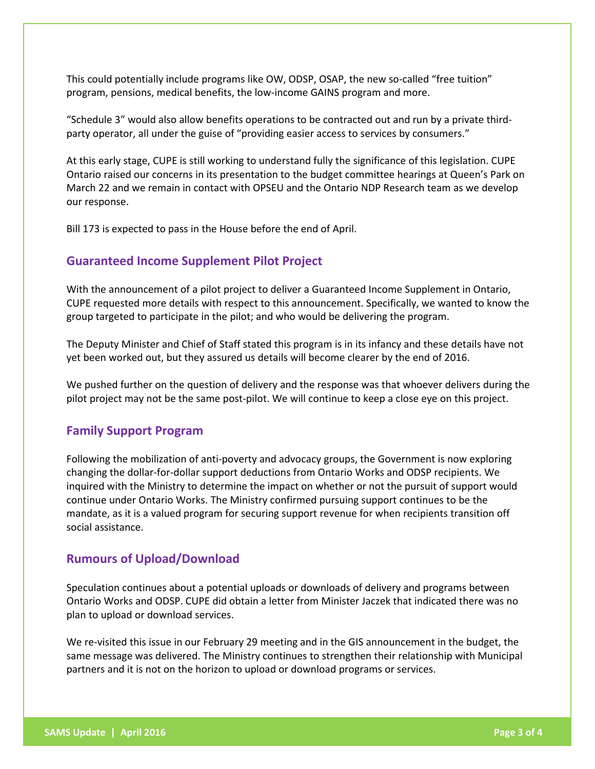This could potentially include programs like OW, ODSP, OSAP, the new so-called "free tuition" program, pensions, medical benefits, the low-income GAINS program and more.

"Schedule 3" would also allow benefits operations to be contracted out and run by a private thirdparty operator, all under the guise of "providing easier access to services by consumers."

At this early stage, CUPE is still working to understand fully the significance of this legislation. CUPE Ontario raised our concerns in its presentation to the budget committee hearings at Queen's Park on March 22 and we remain in contact with OPSEU and the Ontario NDP Research team as we develop our response.

Bill 173 is expected to pass in the House before the end of April.

#### **Guaranteed Income Supplement Pilot Project**

With the announcement of a pilot project to deliver a Guaranteed Income Supplement in Ontario, CUPE requested more details with respect to this announcement. Specifically, we wanted to know the group targeted to participate in the pilot; and who would be delivering the program.

The Deputy Minister and Chief of Staff stated this program is in its infancy and these details have not yet been worked out, but they assured us details will become clearer by the end of 2016.

We pushed further on the question of delivery and the response was that whoever delivers during the pilot project may not be the same post-pilot. We will continue to keep a close eye on this project.

#### **Family Support Program**

Following the mobilization of anti-poverty and advocacy groups, the Government is now exploring changing the dollar-for-dollar support deductions from Ontario Works and ODSP recipients. We inquired with the Ministry to determine the impact on whether or not the pursuit of support would continue under Ontario Works. The Ministry confirmed pursuing support continues to be the mandate, as it is a valued program for securing support revenue for when recipients transition off social assistance.

#### **Rumours of Upload/Download**

Speculation continues about a potential uploads or downloads of delivery and programs between Ontario Works and ODSP. CUPE did obtain a letter from Minister Jaczek that indicated there was no plan to upload or download services.

We re-visited this issue in our February 29 meeting and in the GIS announcement in the budget, the same message was delivered. The Ministry continues to strengthen their relationship with Municipal partners and it is not on the horizon to upload or download programs or services.